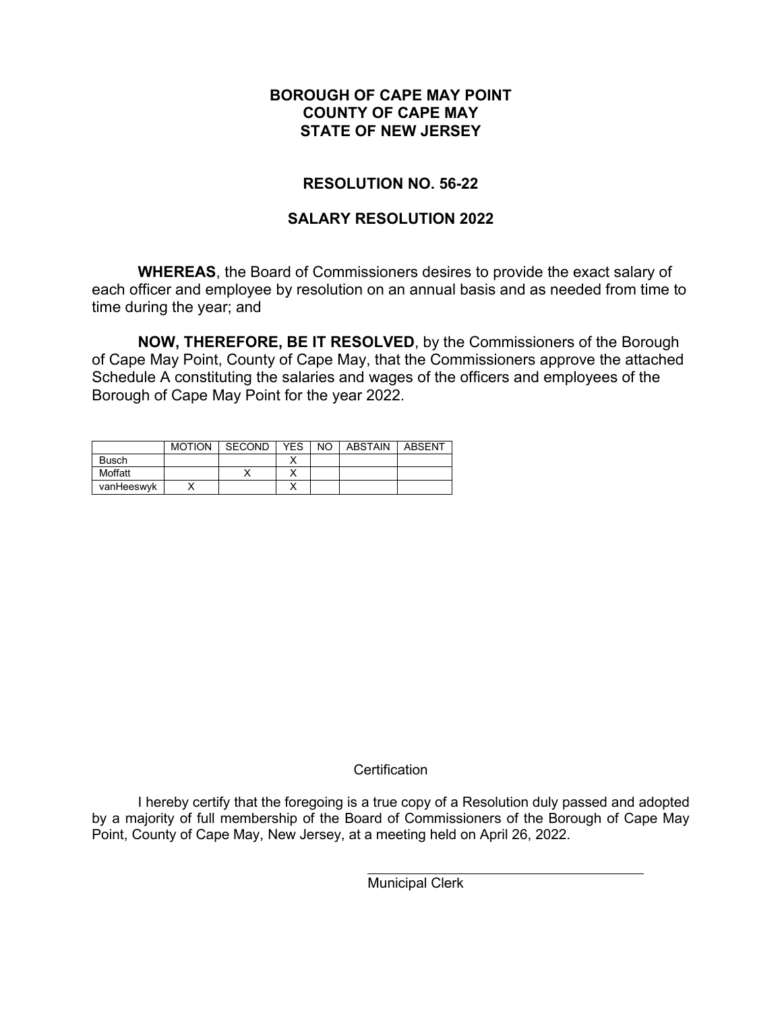### **BOROUGH OF CAPE MAY POINT COUNTY OF CAPE MAY STATE OF NEW JERSEY**

## **RESOLUTION NO. 56-22**

### **SALARY RESOLUTION 2022**

**WHEREAS**, the Board of Commissioners desires to provide the exact salary of each officer and employee by resolution on an annual basis and as needed from time to time during the year; and

**NOW, THEREFORE, BE IT RESOLVED**, by the Commissioners of the Borough of Cape May Point, County of Cape May, that the Commissioners approve the attached Schedule A constituting the salaries and wages of the officers and employees of the Borough of Cape May Point for the year 2022.

|              | <b>MOTION</b> | <b>SECOND</b> | <b>YES</b> | NO. | <b>ABSTAIN</b> | <b>ABSENT</b> |
|--------------|---------------|---------------|------------|-----|----------------|---------------|
| <b>Busch</b> |               |               |            |     |                |               |
| Moffatt      |               |               |            |     |                |               |
| vanHeeswyk   |               |               |            |     |                |               |

#### **Certification**

I hereby certify that the foregoing is a true copy of a Resolution duly passed and adopted by a majority of full membership of the Board of Commissioners of the Borough of Cape May Point, County of Cape May, New Jersey, at a meeting held on April 26, 2022.

Municipal Clerk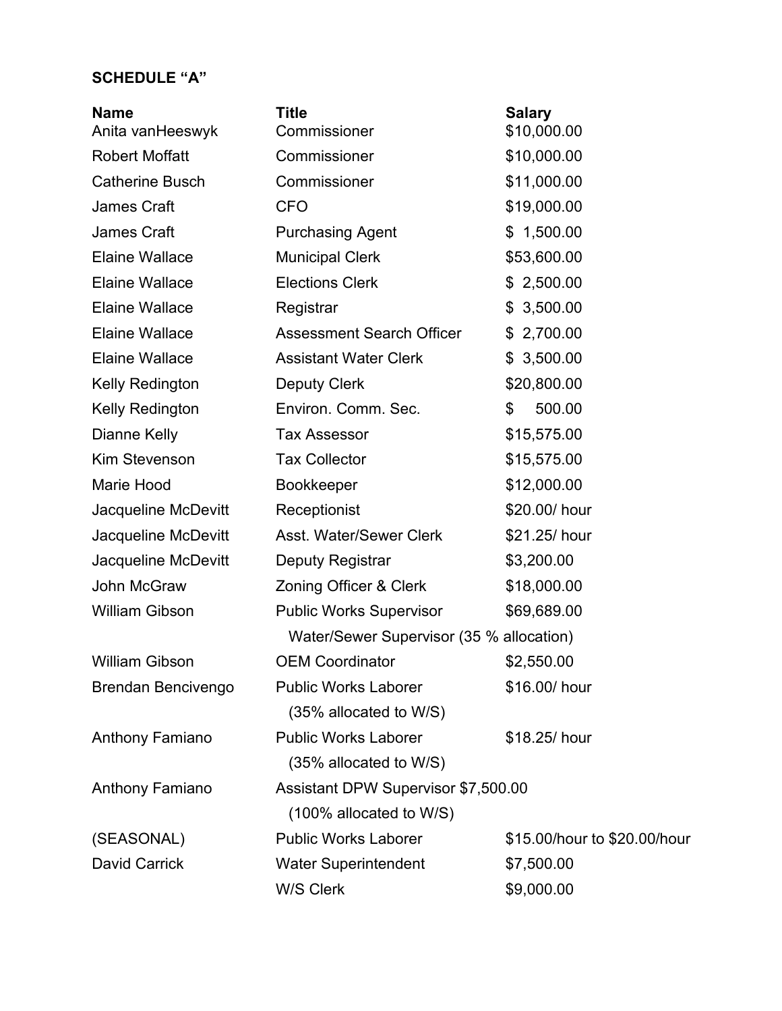# **SCHEDULE "A"**

| <b>Name</b><br>Anita vanHeeswyk | <b>Title</b><br>Commissioner             | <b>Salary</b><br>\$10,000.00 |  |  |  |
|---------------------------------|------------------------------------------|------------------------------|--|--|--|
| <b>Robert Moffatt</b>           | Commissioner                             | \$10,000.00                  |  |  |  |
| <b>Catherine Busch</b>          | Commissioner                             | \$11,000.00                  |  |  |  |
| James Craft                     | <b>CFO</b>                               | \$19,000.00                  |  |  |  |
| James Craft                     | <b>Purchasing Agent</b>                  | \$1,500.00                   |  |  |  |
| <b>Elaine Wallace</b>           | <b>Municipal Clerk</b>                   | \$53,600.00                  |  |  |  |
| <b>Elaine Wallace</b>           | <b>Elections Clerk</b>                   | \$2,500.00                   |  |  |  |
| <b>Elaine Wallace</b>           | Registrar                                | 3,500.00<br>\$               |  |  |  |
| <b>Elaine Wallace</b>           | <b>Assessment Search Officer</b>         | \$2,700.00                   |  |  |  |
| <b>Elaine Wallace</b>           | <b>Assistant Water Clerk</b>             | \$3,500.00                   |  |  |  |
| Kelly Redington                 | <b>Deputy Clerk</b>                      | \$20,800.00                  |  |  |  |
| Kelly Redington                 | Environ. Comm. Sec.                      | 500.00<br>\$                 |  |  |  |
| Dianne Kelly                    | <b>Tax Assessor</b>                      | \$15,575.00                  |  |  |  |
| Kim Stevenson                   | <b>Tax Collector</b>                     | \$15,575.00                  |  |  |  |
| <b>Marie Hood</b>               | Bookkeeper                               | \$12,000.00                  |  |  |  |
| Jacqueline McDevitt             | Receptionist                             | \$20.00/ hour                |  |  |  |
| Jacqueline McDevitt             | Asst. Water/Sewer Clerk                  | \$21.25/ hour                |  |  |  |
| Jacqueline McDevitt             | Deputy Registrar                         | \$3,200.00                   |  |  |  |
| John McGraw                     | Zoning Officer & Clerk                   | \$18,000.00                  |  |  |  |
| William Gibson                  | <b>Public Works Supervisor</b>           | \$69,689.00                  |  |  |  |
|                                 | Water/Sewer Supervisor (35 % allocation) |                              |  |  |  |
| William Gibson                  | <b>OEM Coordinator</b>                   | \$2,550.00                   |  |  |  |
| Brendan Bencivengo              | <b>Public Works Laborer</b>              | \$16.00/ hour                |  |  |  |
|                                 | (35% allocated to W/S)                   |                              |  |  |  |
| Anthony Famiano                 | <b>Public Works Laborer</b>              | \$18.25/ hour                |  |  |  |
|                                 | (35% allocated to W/S)                   |                              |  |  |  |
| Anthony Famiano                 | Assistant DPW Supervisor \$7,500.00      |                              |  |  |  |
|                                 | (100% allocated to W/S)                  |                              |  |  |  |
| (SEASONAL)                      | <b>Public Works Laborer</b>              | \$15.00/hour to \$20.00/hour |  |  |  |
| <b>David Carrick</b>            | <b>Water Superintendent</b>              | \$7,500.00                   |  |  |  |
|                                 | W/S Clerk                                | \$9,000.00                   |  |  |  |